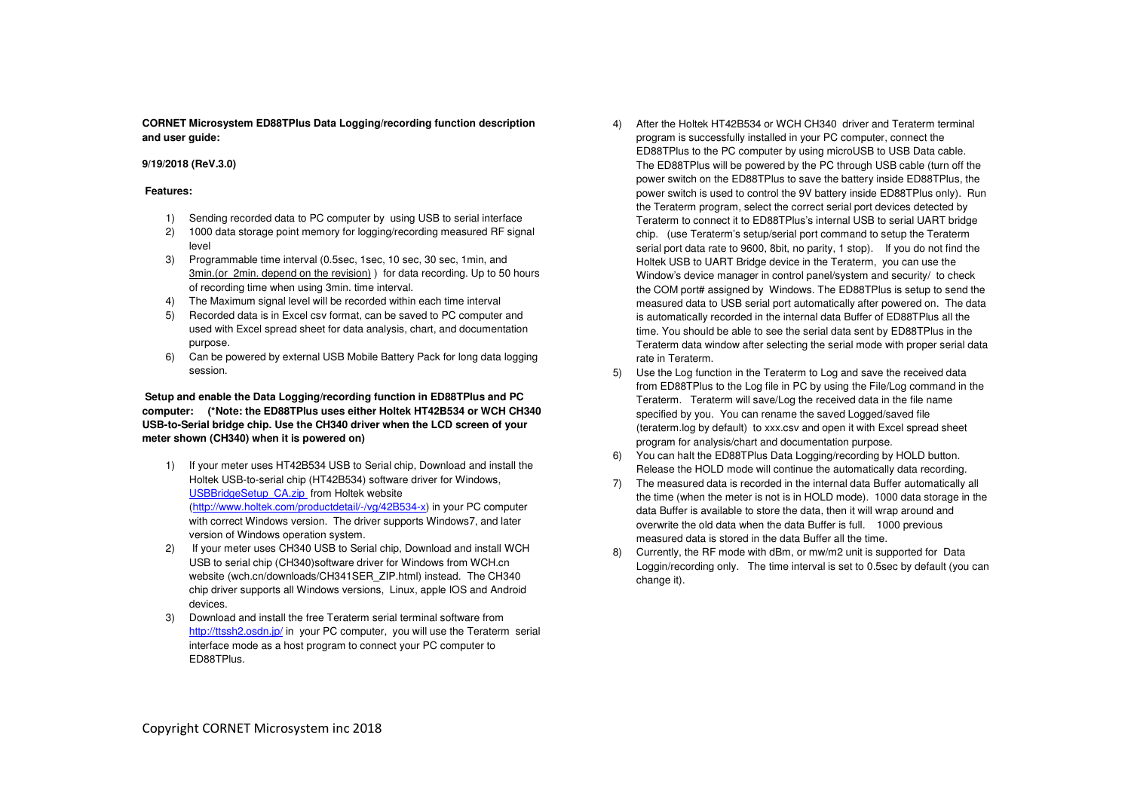**CORNET Microsystem ED88TPlus Data Logging/recording function description and user guide:** 

### **9/19/2018 (ReV.3.0)**

### **Features:**

- 1) Sending recorded data to PC computer by using USB to serial interface
- 2) 1000 data storage point memory for logging/recording measured RF signal level
- 3) Programmable time interval (0.5sec, 1sec, 10 sec, 30 sec, 1min, and 3min.(or 2min. depend on the revision) ) for data recording. Up to 50 hours of recording time when using 3min. time interval.
- 4) The Maximum signal level will be recorded within each time interval
- 5) Recorded data is in Excel csv format, can be saved to PC computer and used with Excel spread sheet for data analysis, chart, and documentation purpose.
- 6) Can be powered by external USB Mobile Battery Pack for long data logging session.

## **Setup and enable the Data Logging/recording function in ED88TPlus and PC computer: (\*Note: the ED88TPlus uses either Holtek HT42B534 or WCH CH340 USB-to-Serial bridge chip. Use the CH340 driver when the LCD screen of your meter shown (CH340) when it is powered on)**

- 1) If your meter uses HT42B534 USB to Serial chip, Download and install the Holtek USB-to-serial chip (HT42B534) software driver for Windows, USBBridgeSetup\_CA.zip from Holtek website (http://www.holtek.com/productdetail/-/vg/42B534-x) in your PC computer with correct Windows version. The driver supports Windows7, and later version of Windows operation system.
- 2) If your meter uses CH340 USB to Serial chip, Download and install WCH USB to serial chip (CH340)software driver for Windows from WCH.cn website (wch.cn/downloads/CH341SER\_ZIP.html) instead. The CH340 chip driver supports all Windows versions, Linux, apple IOS and Android devices.
- 3) Download and install the free Teraterm serial terminal software from http://ttssh2.osdn.jp/ in your PC computer, you will use the Teraterm serial interface mode as a host program to connect your PC computer to ED88TPlus.
- 4) After the Holtek HT42B534 or WCH CH340 driver and Teraterm terminal program is successfully installed in your PC computer, connect the ED88TPlus to the PC computer by using microUSB to USB Data cable. The ED88TPlus will be powered by the PC through USB cable (turn off the power switch on the ED88TPlus to save the battery inside ED88TPlus, the power switch is used to control the 9V battery inside ED88TPlus only). Run the Teraterm program, select the correct serial port devices detected by Teraterm to connect it to ED88TPlus's internal USB to serial UART bridge chip. (use Teraterm's setup/serial port command to setup the Teraterm serial port data rate to 9600, 8bit, no parity, 1 stop). If you do not find the Holtek USB to UART Bridge device in the Teraterm, you can use the Window's device manager in control panel/system and security/ to check the COM port# assigned by Windows. The ED88TPlus is setup to send the measured data to USB serial port automatically after powered on. The data is automatically recorded in the internal data Buffer of ED88TPlus all the time. You should be able to see the serial data sent by ED88TPlus in the Teraterm data window after selecting the serial mode with proper serial data rate in Teraterm.
- 5) Use the Log function in the Teraterm to Log and save the received data from ED88TPlus to the Log file in PC by using the File/Log command in the Teraterm. Teraterm will save/Log the received data in the file name specified by you. You can rename the saved Logged/saved file (teraterm.log by default) to xxx.csv and open it with Excel spread sheet program for analysis/chart and documentation purpose.
- 6) You can halt the ED88TPlus Data Logging/recording by HOLD button. Release the HOLD mode will continue the automatically data recording.
- 7) The measured data is recorded in the internal data Buffer automatically all the time (when the meter is not is in HOLD mode). 1000 data storage in the data Buffer is available to store the data, then it will wrap around and overwrite the old data when the data Buffer is full. 1000 previous measured data is stored in the data Buffer all the time.
- 8) Currently, the RF mode with dBm, or mw/m2 unit is supported for Data Loggin/recording only. The time interval is set to 0.5sec by default (you can change it).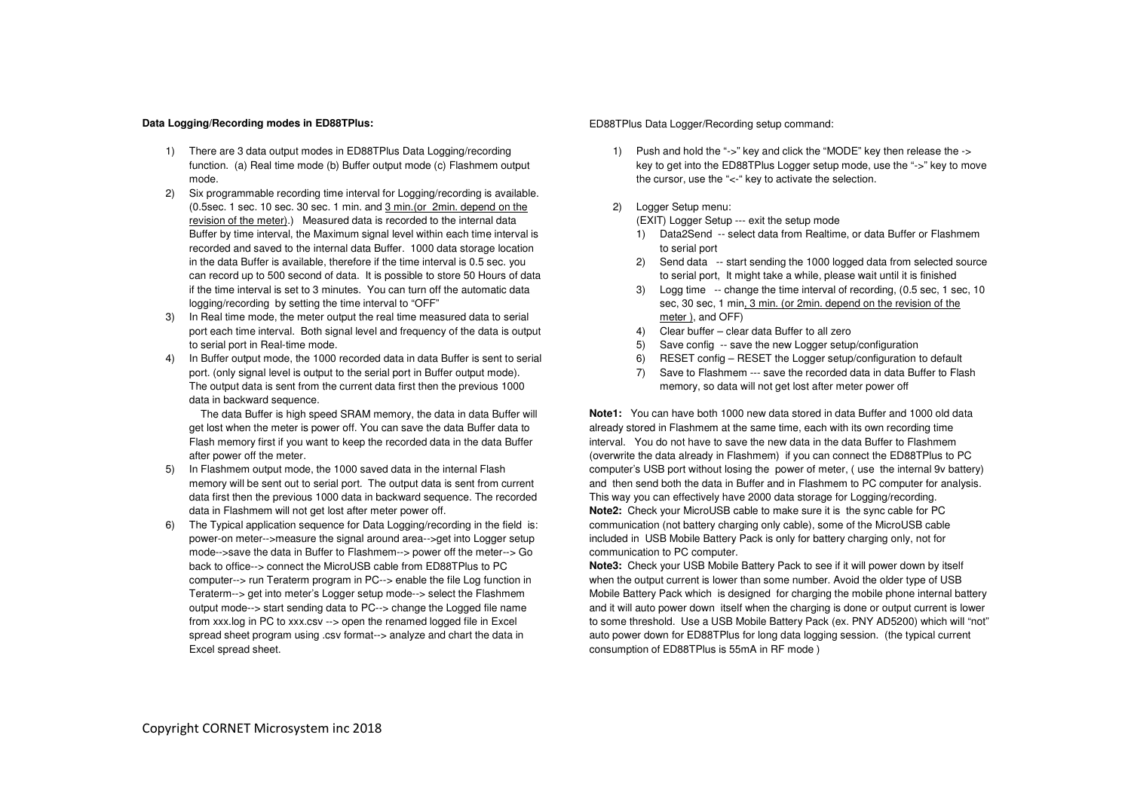### **Data Logging/Recording modes in ED88TPlus:**

- 1) There are 3 data output modes in ED88TPlus Data Logging/recording function. (a) Real time mode (b) Buffer output mode (c) Flashmem output mode.
- 2) Six programmable recording time interval for Logging/recording is available. (0.5sec. 1 sec. 10 sec. 30 sec. 1 min. and 3 min.(or 2min. depend on the revision of the meter).) Measured data is recorded to the internal data Buffer by time interval, the Maximum signal level within each time interval is recorded and saved to the internal data Buffer. 1000 data storage location in the data Buffer is available, therefore if the time interval is 0.5 sec. you can record up to 500 second of data. It is possible to store 50 Hours of data if the time interval is set to 3 minutes. You can turn off the automatic data logging/recording by setting the time interval to "OFF"
- 3) In Real time mode, the meter output the real time measured data to serial port each time interval. Both signal level and frequency of the data is output to serial port in Real-time mode.
- 4) In Buffer output mode, the 1000 recorded data in data Buffer is sent to serial port. (only signal level is output to the serial port in Buffer output mode). The output data is sent from the current data first then the previous 1000 data in backward sequence.

 The data Buffer is high speed SRAM memory, the data in data Buffer will get lost when the meter is power off. You can save the data Buffer data to Flash memory first if you want to keep the recorded data in the data Buffer after power off the meter.

- 5) In Flashmem output mode, the 1000 saved data in the internal Flash memory will be sent out to serial port. The output data is sent from current data first then the previous 1000 data in backward sequence. The recorded data in Flashmem will not get lost after meter power off.
- 6) The Typical application sequence for Data Logging/recording in the field is: power-on meter-->measure the signal around area-->get into Logger setup mode-->save the data in Buffer to Flashmem--> power off the meter--> Go back to office--> connect the MicroUSB cable from ED88TPlus to PC computer--> run Teraterm program in PC--> enable the file Log function in Teraterm--> get into meter's Logger setup mode--> select the Flashmem output mode--> start sending data to PC--> change the Logged file name from xxx.log in PC to xxx.csv --> open the renamed logged file in Excel spread sheet program using .csv format--> analyze and chart the data in Excel spread sheet.

### ED88TPlus Data Logger/Recording setup command:

- 1) Push and hold the "->" key and click the "MODE" key then release the -> key to get into the ED88TPlus Logger setup mode, use the "->" key to move the cursor, use the "<-" key to activate the selection.
- 2) Logger Setup menu:

(EXIT) Logger Setup --- exit the setup mode

- 1) Data2Send -- select data from Realtime, or data Buffer or Flashmem to serial port
- 2) Send data -- start sending the 1000 logged data from selected source to serial port, It might take a while, please wait until it is finished
- 3) Logg time -- change the time interval of recording, (0.5 sec, 1 sec, 10 sec, 30 sec, 1 min, 3 min. (or 2min. depend on the revision of the meter ), and OFF)
- 4) Clear buffer clear data Buffer to all zero
- 5) Save config -- save the new Logger setup/configuration
- 6) RESET config RESET the Logger setup/configuration to default
- 7) Save to Flashmem --- save the recorded data in data Buffer to Flash memory, so data will not get lost after meter power off

**Note1:** You can have both 1000 new data stored in data Buffer and 1000 old data already stored in Flashmem at the same time, each with its own recording time interval. You do not have to save the new data in the data Buffer to Flashmem (overwrite the data already in Flashmem) if you can connect the ED88TPlus to PC computer's USB port without losing the power of meter, ( use the internal 9v battery) and then send both the data in Buffer and in Flashmem to PC computer for analysis. This way you can effectively have 2000 data storage for Logging/recording. **Note2:** Check your MicroUSB cable to make sure it is the sync cable for PC communication (not battery charging only cable), some of the MicroUSB cable included in USB Mobile Battery Pack is only for battery charging only, not for communication to PC computer.

 **Note3:** Check your USB Mobile Battery Pack to see if it will power down by itself when the output current is lower than some number. Avoid the older type of USB Mobile Battery Pack which is designed for charging the mobile phone internal battery and it will auto power down itself when the charging is done or output current is lower to some threshold. Use a USB Mobile Battery Pack (ex. PNY AD5200) which will "not" auto power down for ED88TPlus for long data logging session. (the typical current consumption of ED88TPlus is 55mA in RF mode )